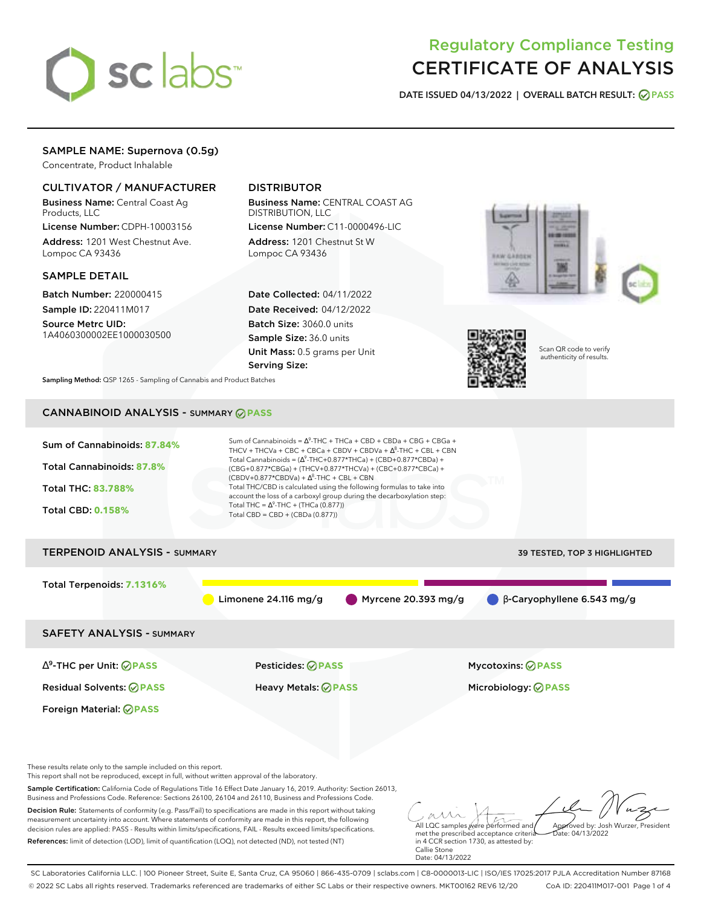# sclabs<sup>\*</sup>

## Regulatory Compliance Testing CERTIFICATE OF ANALYSIS

**DATE ISSUED 04/13/2022 | OVERALL BATCH RESULT: PASS**

## SAMPLE NAME: Supernova (0.5g)

Concentrate, Product Inhalable

### CULTIVATOR / MANUFACTURER

Business Name: Central Coast Ag Products, LLC

License Number: CDPH-10003156 Address: 1201 West Chestnut Ave. Lompoc CA 93436

#### SAMPLE DETAIL

Batch Number: 220000415 Sample ID: 220411M017

Source Metrc UID: 1A4060300002EE1000030500

## DISTRIBUTOR

Business Name: CENTRAL COAST AG DISTRIBUTION, LLC License Number: C11-0000496-LIC

Address: 1201 Chestnut St W Lompoc CA 93436

Date Collected: 04/11/2022 Date Received: 04/12/2022 Batch Size: 3060.0 units Sample Size: 36.0 units Unit Mass: 0.5 grams per Unit Serving Size:





Scan QR code to verify authenticity of results.

**Sampling Method:** QSP 1265 - Sampling of Cannabis and Product Batches

## CANNABINOID ANALYSIS - SUMMARY **PASS**



SC Laboratories California LLC. | 100 Pioneer Street, Suite E, Santa Cruz, CA 95060 | 866-435-0709 | sclabs.com | C8-0000013-LIC | ISO/IES 17025:2017 PJLA Accreditation Number 87168 © 2022 SC Labs all rights reserved. Trademarks referenced are trademarks of either SC Labs or their respective owners. MKT00162 REV6 12/20 CoA ID: 220411M017-001 Page 1 of 4